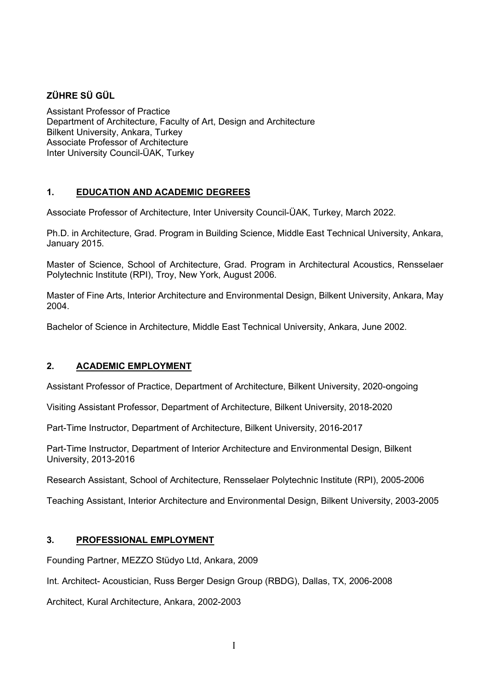# ZÜHRE SÜ GÜL

Assistant Professor of Practice Department of Architecture, Faculty of Art, Design and Architecture Bilkent University, Ankara, Turkey Associate Professor of Architecture Inter University Council-ÜAK, Turkey

# 1. EDUCATION AND ACADEMIC DEGREES

Associate Professor of Architecture, Inter University Council-ÜAK, Turkey, March 2022.

Ph.D. in Architecture, Grad. Program in Building Science, Middle East Technical University, Ankara, January 2015.

Master of Science, School of Architecture, Grad. Program in Architectural Acoustics, Rensselaer Polytechnic Institute (RPI), Troy, New York, August 2006.

Master of Fine Arts, Interior Architecture and Environmental Design, Bilkent University, Ankara, May 2004.

Bachelor of Science in Architecture, Middle East Technical University, Ankara, June 2002.

## 2. ACADEMIC EMPLOYMENT

Assistant Professor of Practice, Department of Architecture, Bilkent University, 2020-ongoing

Visiting Assistant Professor, Department of Architecture, Bilkent University, 2018-2020

Part-Time Instructor, Department of Architecture, Bilkent University, 2016-2017

Part-Time Instructor, Department of Interior Architecture and Environmental Design, Bilkent University, 2013-2016

Research Assistant, School of Architecture, Rensselaer Polytechnic Institute (RPI), 2005-2006

Teaching Assistant, Interior Architecture and Environmental Design, Bilkent University, 2003-2005

## 3. PROFESSIONAL EMPLOYMENT

Founding Partner, MEZZO Stüdyo Ltd, Ankara, 2009

Int. Architect- Acoustician, Russ Berger Design Group (RBDG), Dallas, TX, 2006-2008

Architect, Kural Architecture, Ankara, 2002-2003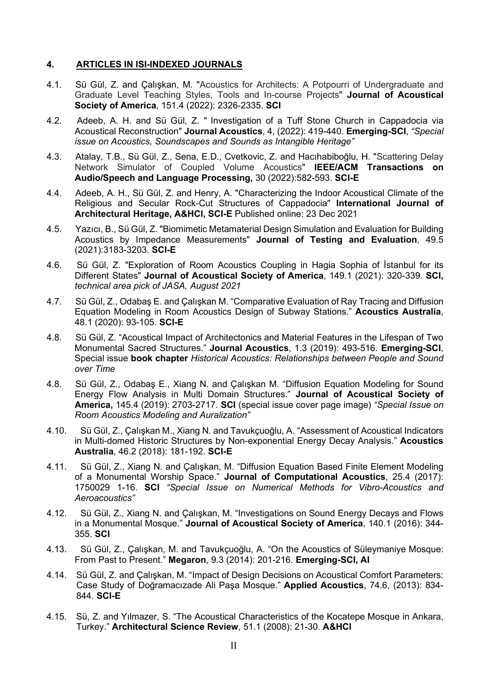#### 4. ARTICLES IN ISI-INDEXED JOURNALS

- 4.1. Sü Gül, Z. and Çalışkan, M. "Acoustics for Architects: A Potpourri of Undergraduate and Graduate Level Teaching Styles, Tools and In-course Projects" Journal of Acoustical Society of America, 151.4 (2022): 2326-2335. SCI
- 4.2. Adeeb, A. H. and Sü Gül, Z. " Investigation of a Tuff Stone Church in Cappadocia via Acoustical Reconstruction" Journal Acoustics, 4, (2022): 419-440. Emerging-SCI, "Special issue on Acoustics, Soundscapes and Sounds as Intangible Heritage"
- 4.3. Atalay, T.B., Sü Gül, Z., Sena, E.D., Cvetkovic, Z. and Hacıhabiboğlu, H. "Scattering Delay Network Simulator of Coupled Volume Acoustics" IEEE/ACM Transactions on Audio/Speech and Language Processing, 30 (2022):582-593. SCI-E
- 4.4. Adeeb, A. H., Sü Gül, Z. and Henry, A. "Characterizing the Indoor Acoustical Climate of the Religious and Secular Rock-Cut Structures of Cappadocia" International Journal of Architectural Heritage, A&HCI, SCI-E Published online: 23 Dec 2021
- 4.5. Yazıcı, B., Sü Gül, Z. "Biomimetic Metamaterial Design Simulation and Evaluation for Building Acoustics by Impedance Measurements" Journal of Testing and Evaluation, 49.5 (2021):3183-3203. SCI-E
- 4.6. Sü Gül, Z. "Exploration of Room Acoustics Coupling in Hagia Sophia of İstanbul for its Different States" Journal of Acoustical Society of America, 149.1 (2021): 320-339. SCI, technical area pick of JASA, August 2021
- 4.7. Sü Gül, Z., Odabaş E. and Çalışkan M. "Comparative Evaluation of Ray Tracing and Diffusion Equation Modeling in Room Acoustics Design of Subway Stations." Acoustics Australia, 48.1 (2020): 93-105. SCI-E
- 4.8. Sü Gül, Z. "Acoustical Impact of Architectonics and Material Features in the Lifespan of Two Monumental Sacred Structures." Journal Acoustics, 1.3 (2019): 493-516. Emerging-SCI, Special issue book chapter Historical Acoustics: Relationships between People and Sound over Time
- 4.8. Sü Gül, Z., Odabaş E., Xiang N. and Çalışkan M. "Diffusion Equation Modeling for Sound Energy Flow Analysis in Multi Domain Structures." Journal of Acoustical Society of America, 145.4 (2019): 2703-2717. SCI (special issue cover page image) "Special Issue on Room Acoustics Modeling and Auralization"
- 4.10. Sü Gül, Z., Çalışkan M., Xiang N. and Tavukçuoğlu, A. "Assessment of Acoustical Indicators in Multi-domed Historic Structures by Non-exponential Energy Decay Analysis." Acoustics Australia, 46.2 (2018): 181-192. SCI-E
- 4.11. Sü Gül, Z., Xiang N. and Çalışkan, M. "Diffusion Equation Based Finite Element Modeling of a Monumental Worship Space." Journal of Computational Acoustics, 25.4 (2017): 1750029 1-16. SCI "Special Issue on Numerical Methods for Vibro-Acoustics and Aeroacoustics"
- 4.12. Sü Gül, Z., Xiang N. and Çalışkan, M. "Investigations on Sound Energy Decays and Flows in a Monumental Mosque." Journal of Acoustical Society of America, 140.1 (2016): 344- 355. SCI
- 4.13. Sü Gül, Z., Çalışkan, M. and Tavukçuoğlu, A. "On the Acoustics of Süleymaniye Mosque: From Past to Present." Megaron, 9.3 (2014): 201-216. Emerging-SCI, AI
- 4.14. Sü Gül, Z. and Çalışkan, M. "Impact of Design Decisions on Acoustical Comfort Parameters: Case Study of Doğramacızade Ali Paşa Mosque." Applied Acoustics, 74.6, (2013): 834- 844. SCI-E
- 4.15. Sü, Z. and Yılmazer, S. "The Acoustical Characteristics of the Kocatepe Mosque in Ankara, Turkey." Architectural Science Review, 51.1 (2008): 21-30. A&HCI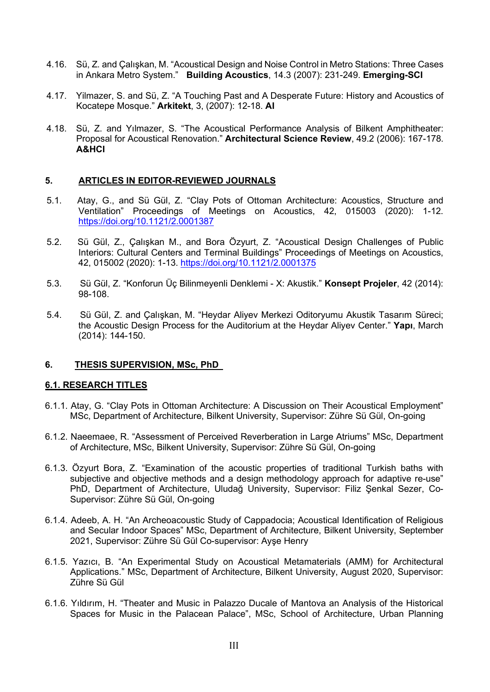- 4.16. Sü, Z. and Çalışkan, M. "Acoustical Design and Noise Control in Metro Stations: Three Cases in Ankara Metro System." Building Acoustics, 14.3 (2007): 231-249. Emerging-SCI
- 4.17. Yilmazer, S. and Sü, Z. "A Touching Past and A Desperate Future: History and Acoustics of Kocatepe Mosque." Arkitekt, 3, (2007): 12-18. AI
- 4.18. Sü, Z. and Yılmazer, S. "The Acoustical Performance Analysis of Bilkent Amphitheater: Proposal for Acoustical Renovation." Architectural Science Review, 49.2 (2006): 167-178. A&HCI

#### 5. ARTICLES IN EDITOR-REVIEWED JOURNALS

- 5.1. Atay, G., and Sü Gül, Z. "Clay Pots of Ottoman Architecture: Acoustics, Structure and Ventilation" Proceedings of Meetings on Acoustics, 42, 015003 (2020): 1-12. https://doi.org/10.1121/2.0001387
- 5.2. Sü Gül, Z., Çalışkan M., and Bora Özyurt, Z. "Acoustical Design Challenges of Public Interiors: Cultural Centers and Terminal Buildings" Proceedings of Meetings on Acoustics, 42, 015002 (2020): 1-13. https://doi.org/10.1121/2.0001375
- 5.3. Sü Gül, Z. "Konforun Üç Bilinmeyenli Denklemi X: Akustik." Konsept Projeler, 42 (2014): 98-108.
- 5.4. Sü Gül, Z. and Çalışkan, M. "Heydar Aliyev Merkezi Oditoryumu Akustik Tasarım Süreci; the Acoustic Design Process for the Auditorium at the Heydar Aliyev Center." Yapı, March (2014): 144-150.

#### 6. THESIS SUPERVISION, MSc, PhD

#### 6.1. RESEARCH TITLES

- 6.1.1. Atay, G. "Clay Pots in Ottoman Architecture: A Discussion on Their Acoustical Employment" MSc, Department of Architecture, Bilkent University, Supervisor: Zühre Sü Gül, On-going
- 6.1.2. Naeemaee, R. "Assessment of Perceived Reverberation in Large Atriums" MSc, Department of Architecture, MSc, Bilkent University, Supervisor: Zühre Sü Gül, On-going
- 6.1.3. Özyurt Bora, Z. "Examination of the acoustic properties of traditional Turkish baths with subjective and objective methods and a design methodology approach for adaptive re-use" PhD, Department of Architecture, Uludağ University, Supervisor: Filiz Şenkal Sezer, Co-Supervisor: Zühre Sü Gül, On-going
- 6.1.4. Adeeb, A. H. "An Archeoacoustic Study of Cappadocia; Acoustical Identification of Religious and Secular Indoor Spaces" MSc, Department of Architecture, Bilkent University, September 2021, Supervisor: Zühre Sü Gül Co-supervisor: Ayşe Henry
- 6.1.5. Yazıcı, B. "An Experimental Study on Acoustical Metamaterials (AMM) for Architectural Applications." MSc, Department of Architecture, Bilkent University, August 2020, Supervisor: Zühre Sü Gül
- 6.1.6. Yıldırım, H. "Theater and Music in Palazzo Ducale of Mantova an Analysis of the Historical Spaces for Music in the Palacean Palace", MSc, School of Architecture, Urban Planning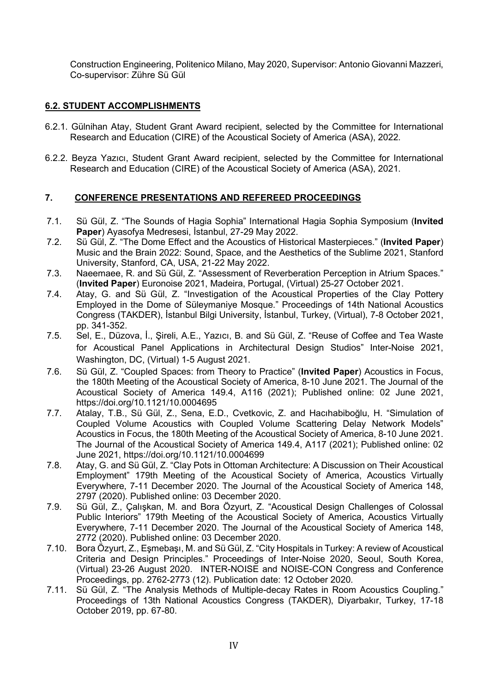Construction Engineering, Politenico Milano, May 2020, Supervisor: Antonio Giovanni Mazzeri, Co-supervisor: Zühre Sü Gül

# 6.2. STUDENT ACCOMPLISHMENTS

- 6.2.1. Gülnihan Atay, Student Grant Award recipient, selected by the Committee for International Research and Education (CIRE) of the Acoustical Society of America (ASA), 2022.
- 6.2.2. Beyza Yazıcı, Student Grant Award recipient, selected by the Committee for International Research and Education (CIRE) of the Acoustical Society of America (ASA), 2021.

## 7. CONFERENCE PRESENTATIONS AND REFEREED PROCEEDINGS

- 7.1. Sü Gül, Z. "The Sounds of Hagia Sophia" International Hagia Sophia Symposium (Invited Paper) Ayasofya Medresesi, İstanbul, 27-29 May 2022.
- 7.2. Sü Gül, Z. "The Dome Effect and the Acoustics of Historical Masterpieces." (Invited Paper) Music and the Brain 2022: Sound, Space, and the Aesthetics of the Sublime 2021, Stanford University, Stanford, CA, USA, 21-22 May 2022.
- 7.3. Naeemaee, R. and Sü Gül, Z. "Assessment of Reverberation Perception in Atrium Spaces." (Invited Paper) Euronoise 2021, Madeira, Portugal, (Virtual) 25-27 October 2021.
- 7.4. Atay, G. and Sü Gül, Z. "Investigation of the Acoustical Properties of the Clav Pottery Employed in the Dome of Süleymaniye Mosque." Proceedings of 14th National Acoustics Congress (TAKDER), İstanbul Bilgi University, İstanbul, Turkey, (Virtual), 7-8 October 2021, pp. 341-352.
- 7.5. Sel, E., Düzova, İ., Şireli, A.E., Yazıcı, B. and Sü Gül, Z. "Reuse of Coffee and Tea Waste for Acoustical Panel Applications in Architectural Design Studios" Inter-Noise 2021, Washington, DC, (Virtual) 1-5 August 2021.
- 7.6. Sü Gül, Z. "Coupled Spaces: from Theory to Practice" (Invited Paper) Acoustics in Focus, the 180th Meeting of the Acoustical Society of America, 8-10 June 2021. The Journal of the Acoustical Society of America 149.4, A116 (2021); Published online: 02 June 2021, https://doi.org/10.1121/10.0004695
- 7.7. Atalay, T.B., Sü Gül, Z., Sena, E.D., Cvetkovic, Z. and Hacıhabiboğlu, H. "Simulation of Coupled Volume Acoustics with Coupled Volume Scattering Delay Network Models" Acoustics in Focus, the 180th Meeting of the Acoustical Society of America, 8-10 June 2021. The Journal of the Acoustical Society of America 149.4, A117 (2021); Published online: 02 June 2021, https://doi.org/10.1121/10.0004699
- 7.8. Atay, G. and Sü Gül, Z. "Clay Pots in Ottoman Architecture: A Discussion on Their Acoustical Employment" 179th Meeting of the Acoustical Society of America, Acoustics Virtually Everywhere, 7-11 December 2020. The Journal of the Acoustical Society of America 148, 2797 (2020). Published online: 03 December 2020.
- 7.9. Sü Gül, Z., Çalışkan, M. and Bora Özyurt, Z. "Acoustical Design Challenges of Colossal Public Interiors" 179th Meeting of the Acoustical Society of America, Acoustics Virtually Everywhere, 7-11 December 2020. The Journal of the Acoustical Society of America 148, 2772 (2020). Published online: 03 December 2020.
- 7.10. Bora Özyurt, Z., Eşmebaşı, M. and Sü Gül, Z. "City Hospitals in Turkey: A review of Acoustical Criteria and Design Principles." Proceedings of Inter-Noise 2020, Seoul, South Korea, (Virtual) 23-26 August 2020. INTER-NOISE and NOISE-CON Congress and Conference Proceedings, pp. 2762-2773 (12). Publication date: 12 October 2020.
- 7.11. Sü Gül, Z. "The Analysis Methods of Multiple-decay Rates in Room Acoustics Coupling." Proceedings of 13th National Acoustics Congress (TAKDER), Diyarbakır, Turkey, 17-18 October 2019, pp. 67-80.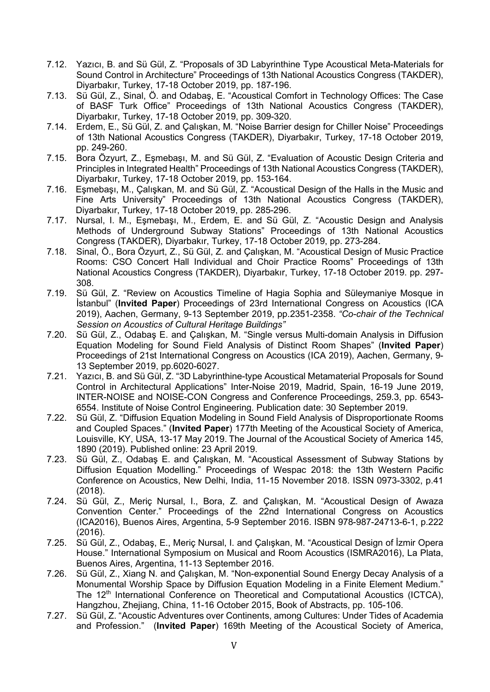- 7.12. Yazıcı, B. and Sü Gül, Z. "Proposals of 3D Labyrinthine Type Acoustical Meta-Materials for Sound Control in Architecture" Proceedings of 13th National Acoustics Congress (TAKDER), Diyarbakır, Turkey, 17-18 October 2019, pp. 187-196.
- 7.13. Sü Gül, Z., Sinal, Ö. and Odabaş, E. "Acoustical Comfort in Technology Offices: The Case of BASF Turk Office" Proceedings of 13th National Acoustics Congress (TAKDER), Diyarbakır, Turkey, 17-18 October 2019, pp. 309-320.
- 7.14. Erdem, E., Sü Gül, Z. and Çalışkan, M. "Noise Barrier design for Chiller Noise" Proceedings of 13th National Acoustics Congress (TAKDER), Diyarbakır, Turkey, 17-18 October 2019, pp. 249-260.
- 7.15. Bora Özyurt, Z., Eşmebaşı, M. and Sü Gül, Z. "Evaluation of Acoustic Design Criteria and Principles in Integrated Health" Proceedings of 13th National Acoustics Congress (TAKDER), Diyarbakır, Turkey, 17-18 October 2019, pp. 153-164.
- 7.16. Eşmebaşı, M., Çalışkan, M. and Sü Gül, Z. "Acoustical Design of the Halls in the Music and Fine Arts University" Proceedings of 13th National Acoustics Congress (TAKDER), Diyarbakır, Turkey, 17-18 October 2019, pp. 285-296.
- 7.17. Nursal, I. M., Eşmebaşı, M., Erdem, E. and Sü Gül, Z. "Acoustic Design and Analysis Methods of Underground Subway Stations" Proceedings of 13th National Acoustics Congress (TAKDER), Diyarbakır, Turkey, 17-18 October 2019, pp. 273-284.
- 7.18. Sinal, Ö., Bora Özyurt, Z., Sü Gül, Z. and Çalışkan, M. "Acoustical Design of Music Practice Rooms: CSO Concert Hall Individual and Choir Practice Rooms" Proceedings of 13th National Acoustics Congress (TAKDER), Diyarbakır, Turkey, 17-18 October 2019. pp. 297- 308.
- 7.19. Sü Gül, Z. "Review on Acoustics Timeline of Hagia Sophia and Süleymaniye Mosque in İstanbul" (Invited Paper) Proceedings of 23rd International Congress on Acoustics (ICA 2019), Aachen, Germany, 9-13 September 2019, pp.2351-2358. "Co-chair of the Technical Session on Acoustics of Cultural Heritage Buildings"
- 7.20. Sü Gül, Z., Odabaş E. and Çalışkan, M. "Single versus Multi-domain Analysis in Diffusion Equation Modeling for Sound Field Analysis of Distinct Room Shapes" (Invited Paper) Proceedings of 21st International Congress on Acoustics (ICA 2019), Aachen, Germany, 9- 13 September 2019, pp.6020-6027.
- 7.21. Yazıcı, B. and Sü Gül, Z. "3D Labyrinthine-type Acoustical Metamaterial Proposals for Sound Control in Architectural Applications" Inter-Noise 2019, Madrid, Spain, 16-19 June 2019, INTER-NOISE and NOISE-CON Congress and Conference Proceedings, 259.3, pp. 6543- 6554. Institute of Noise Control Engineering. Publication date: 30 September 2019.
- 7.22. Sü Gül, Z. "Diffusion Equation Modeling in Sound Field Analysis of Disproportionate Rooms and Coupled Spaces." (Invited Paper) 177th Meeting of the Acoustical Society of America, Louisville, KY, USA, 13-17 May 2019. The Journal of the Acoustical Society of America 145, 1890 (2019). Published online: 23 April 2019.
- 7.23. Sü Gül, Z., Odabaş E. and Çalışkan, M. "Acoustical Assessment of Subway Stations by Diffusion Equation Modelling." Proceedings of Wespac 2018: the 13th Western Pacific Conference on Acoustics, New Delhi, India, 11-15 November 2018. ISSN 0973-3302, p.41 (2018).
- 7.24. Sü Gül, Z., Meriç Nursal, I., Bora, Z. and Çalışkan, M. "Acoustical Design of Awaza Convention Center." Proceedings of the 22nd International Congress on Acoustics (ICA2016), Buenos Aires, Argentina, 5-9 September 2016. ISBN 978-987-24713-6-1, p.222 (2016).
- 7.25. Sü Gül, Z., Odabaş, E., Meriç Nursal, I. and Çalışkan, M. "Acoustical Design of İzmir Opera House." International Symposium on Musical and Room Acoustics (ISMRA2016), La Plata, Buenos Aires, Argentina, 11-13 September 2016.
- 7.26. Sü Gül, Z., Xiang N. and Çalışkan, M. "Non-exponential Sound Energy Decay Analysis of a Monumental Worship Space by Diffusion Equation Modeling in a Finite Element Medium." The 12<sup>th</sup> International Conference on Theoretical and Computational Acoustics (ICTCA), Hangzhou, Zhejiang, China, 11-16 October 2015, Book of Abstracts, pp. 105-106.
- 7.27. Sü Gül, Z. "Acoustic Adventures over Continents, among Cultures: Under Tides of Academia and Profession." (Invited Paper) 169th Meeting of the Acoustical Society of America,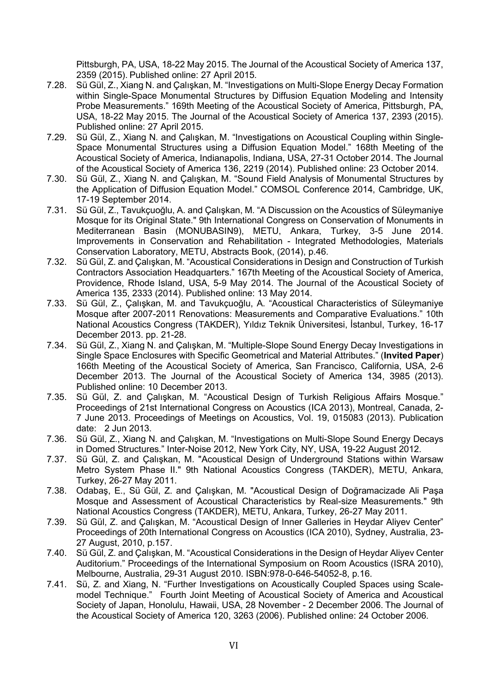Pittsburgh, PA, USA, 18-22 May 2015. The Journal of the Acoustical Society of America 137, 2359 (2015). Published online: 27 April 2015.

- 7.28. Sü Gül, Z., Xiang N. and Çalışkan, M. "Investigations on Multi-Slope Energy Decay Formation within Single-Space Monumental Structures by Diffusion Equation Modeling and Intensity Probe Measurements." 169th Meeting of the Acoustical Society of America, Pittsburgh, PA, USA, 18-22 May 2015. The Journal of the Acoustical Society of America 137, 2393 (2015). Published online: 27 April 2015.
- 7.29. Sü Gül, Z., Xiang N. and Çalışkan, M. "Investigations on Acoustical Coupling within Single-Space Monumental Structures using a Diffusion Equation Model." 168th Meeting of the Acoustical Society of America, Indianapolis, Indiana, USA, 27-31 October 2014. The Journal of the Acoustical Society of America 136, 2219 (2014). Published online: 23 October 2014.
- 7.30. Sü Gül, Z., Xiang N. and Çalışkan, M. "Sound Field Analysis of Monumental Structures by the Application of Diffusion Equation Model." COMSOL Conference 2014, Cambridge, UK, 17-19 September 2014.
- 7.31. Sü Gül, Z., Tavukçuoğlu, A. and Çalışkan, M. "A Discussion on the Acoustics of Süleymaniye Mosque for its Original State." 9th International Congress on Conservation of Monuments in Mediterranean Basin (MONUBASIN9), METU, Ankara, Turkey, 3-5 June 2014. Improvements in Conservation and Rehabilitation - Integrated Methodologies, Materials Conservation Laboratory, METU, Abstracts Book, (2014), p.46.
- 7.32. Sü Gül, Z. and Çalışkan, M. "Acoustical Considerations in Design and Construction of Turkish Contractors Association Headquarters." 167th Meeting of the Acoustical Society of America, Providence, Rhode Island, USA, 5-9 May 2014. The Journal of the Acoustical Society of America 135, 2333 (2014). Published online: 13 May 2014.
- 7.33. Sü Gül, Z., Çalışkan, M. and Tavukçuoğlu, A. "Acoustical Characteristics of Süleymaniye Mosque after 2007-2011 Renovations: Measurements and Comparative Evaluations." 10th National Acoustics Congress (TAKDER), Yıldız Teknik Üniversitesi, İstanbul, Turkey, 16-17 December 2013. pp. 21-28.
- 7.34. Sü Gül, Z., Xiang N. and Çalışkan, M. "Multiple-Slope Sound Energy Decay Investigations in Single Space Enclosures with Specific Geometrical and Material Attributes." (Invited Paper) 166th Meeting of the Acoustical Society of America, San Francisco, California, USA, 2-6 December 2013. The Journal of the Acoustical Society of America 134, 3985 (2013). Published online: 10 December 2013.
- 7.35. Sü Gül, Z. and Çalışkan, M. "Acoustical Design of Turkish Religious Affairs Mosque." Proceedings of 21st International Congress on Acoustics (ICA 2013), Montreal, Canada, 2- 7 June 2013. Proceedings of Meetings on Acoustics, Vol. 19, 015083 (2013). Publication date: 2 Jun 2013.
- 7.36. Sü Gül, Z., Xiang N. and Çalışkan, M. "Investigations on Multi-Slope Sound Energy Decays in Domed Structures." Inter-Noise 2012, New York City, NY, USA, 19-22 August 2012.
- 7.37. Sü Gül, Z. and Çalışkan, M. "Acoustical Design of Underground Stations within Warsaw Metro System Phase II." 9th National Acoustics Congress (TAKDER), METU, Ankara, Turkey, 26-27 May 2011.
- 7.38. Odabaş, E., Sü Gül, Z. and Çalışkan, M. "Acoustical Design of Doğramacizade Ali Paşa Mosque and Assessment of Acoustical Characteristics by Real-size Measurements." 9th National Acoustics Congress (TAKDER), METU, Ankara, Turkey, 26-27 May 2011.
- 7.39. Sü Gül, Z. and Çalışkan, M. "Acoustical Design of Inner Galleries in Heydar Aliyev Center" Proceedings of 20th International Congress on Acoustics (ICA 2010), Sydney, Australia, 23- 27 August, 2010, p.157.
- 7.40. Sü Gül, Z. and Çalışkan, M. "Acoustical Considerations in the Design of Heydar Aliyev Center Auditorium." Proceedings of the International Symposium on Room Acoustics (ISRA 2010), Melbourne, Australia, 29-31 August 2010. ISBN:978-0-646-54052-8, p.16.
- 7.41. Sü, Z. and Xiang, N. "Further Investigations on Acoustically Coupled Spaces using Scalemodel Technique." Fourth Joint Meeting of Acoustical Society of America and Acoustical Society of Japan, Honolulu, Hawaii, USA, 28 November - 2 December 2006. The Journal of the Acoustical Society of America 120, 3263 (2006). Published online: 24 October 2006.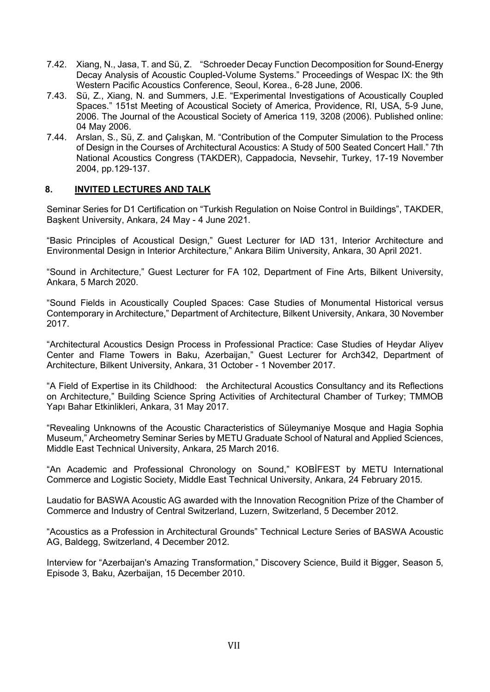- 7.42. Xiang, N., Jasa, T. and Sü, Z. "Schroeder Decay Function Decomposition for Sound-Energy Decay Analysis of Acoustic Coupled-Volume Systems." Proceedings of Wespac IX: the 9th Western Pacific Acoustics Conference, Seoul, Korea., 6-28 June, 2006.
- 7.43. Sü, Z., Xiang, N. and Summers, J.E. "Experimental Investigations of Acoustically Coupled Spaces." 151st Meeting of Acoustical Society of America, Providence, RI, USA, 5-9 June, 2006. The Journal of the Acoustical Society of America 119, 3208 (2006). Published online: 04 May 2006.
- 7.44. Arslan, S., Sü, Z. and Çalışkan, M. "Contribution of the Computer Simulation to the Process of Design in the Courses of Architectural Acoustics: A Study of 500 Seated Concert Hall." 7th National Acoustics Congress (TAKDER), Cappadocia, Nevsehir, Turkey, 17-19 November 2004, pp.129-137.

## 8. INVITED LECTURES AND TALK

Seminar Series for D1 Certification on "Turkish Regulation on Noise Control in Buildings", TAKDER, Başkent University, Ankara, 24 May - 4 June 2021.

"Basic Principles of Acoustical Design," Guest Lecturer for IAD 131, Interior Architecture and Environmental Design in Interior Architecture," Ankara Bilim University, Ankara, 30 April 2021.

"Sound in Architecture," Guest Lecturer for FA 102, Department of Fine Arts, Bilkent University, Ankara, 5 March 2020.

"Sound Fields in Acoustically Coupled Spaces: Case Studies of Monumental Historical versus Contemporary in Architecture," Department of Architecture, Bilkent University, Ankara, 30 November 2017.

"Architectural Acoustics Design Process in Professional Practice: Case Studies of Heydar Aliyev Center and Flame Towers in Baku, Azerbaijan," Guest Lecturer for Arch342, Department of Architecture, Bilkent University, Ankara, 31 October - 1 November 2017.

"A Field of Expertise in its Childhood: the Architectural Acoustics Consultancy and its Reflections on Architecture," Building Science Spring Activities of Architectural Chamber of Turkey; TMMOB Yapı Bahar Etkinlikleri, Ankara, 31 May 2017.

"Revealing Unknowns of the Acoustic Characteristics of Süleymaniye Mosque and Hagia Sophia Museum," Archeometry Seminar Series by METU Graduate School of Natural and Applied Sciences, Middle East Technical University, Ankara, 25 March 2016.

"An Academic and Professional Chronology on Sound," KOBİFEST by METU International Commerce and Logistic Society, Middle East Technical University, Ankara, 24 February 2015.

Laudatio for BASWA Acoustic AG awarded with the Innovation Recognition Prize of the Chamber of Commerce and Industry of Central Switzerland, Luzern, Switzerland, 5 December 2012.

"Acoustics as a Profession in Architectural Grounds" Technical Lecture Series of BASWA Acoustic AG, Baldegg, Switzerland, 4 December 2012.

Interview for "Azerbaijan's Amazing Transformation," Discovery Science, Build it Bigger, Season 5, Episode 3, Baku, Azerbaijan, 15 December 2010.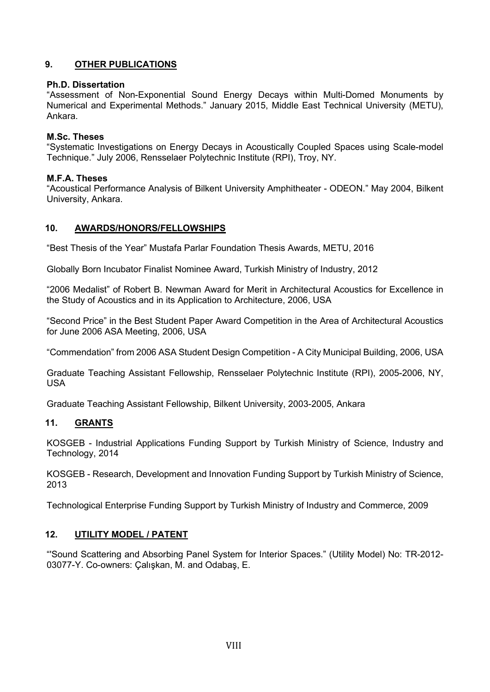## 9. OTHER PUBLICATIONS

#### Ph.D. Dissertation

"Assessment of Non-Exponential Sound Energy Decays within Multi-Domed Monuments by Numerical and Experimental Methods." January 2015, Middle East Technical University (METU), Ankara.

#### M.Sc. Theses

"Systematic Investigations on Energy Decays in Acoustically Coupled Spaces using Scale-model Technique." July 2006, Rensselaer Polytechnic Institute (RPI), Troy, NY.

#### M.F.A. Theses

"Acoustical Performance Analysis of Bilkent University Amphitheater - ODEON." May 2004, Bilkent University, Ankara.

## 10. AWARDS/HONORS/FELLOWSHIPS

"Best Thesis of the Year" Mustafa Parlar Foundation Thesis Awards, METU, 2016

Globally Born Incubator Finalist Nominee Award, Turkish Ministry of Industry, 2012

"2006 Medalist" of Robert B. Newman Award for Merit in Architectural Acoustics for Excellence in the Study of Acoustics and in its Application to Architecture, 2006, USA

"Second Price" in the Best Student Paper Award Competition in the Area of Architectural Acoustics for June 2006 ASA Meeting, 2006, USA

"Commendation" from 2006 ASA Student Design Competition - A City Municipal Building, 2006, USA

Graduate Teaching Assistant Fellowship, Rensselaer Polytechnic Institute (RPI), 2005-2006, NY, USA

Graduate Teaching Assistant Fellowship, Bilkent University, 2003-2005, Ankara

## 11. GRANTS

KOSGEB - Industrial Applications Funding Support by Turkish Ministry of Science, Industry and Technology, 2014

KOSGEB - Research, Development and Innovation Funding Support by Turkish Ministry of Science, 2013

Technological Enterprise Funding Support by Turkish Ministry of Industry and Commerce, 2009

#### 12. UTILITY MODEL / PATENT

"'Sound Scattering and Absorbing Panel System for Interior Spaces." (Utility Model) No: TR-2012- 03077-Y. Co-owners: Çalışkan, M. and Odabaş, E.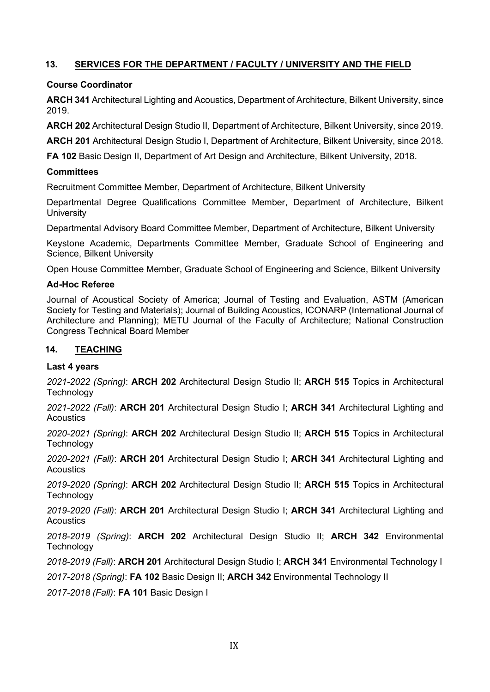## 13. SERVICES FOR THE DEPARTMENT / FACULTY / UNIVERSITY AND THE FIELD

## Course Coordinator

ARCH 341 Architectural Lighting and Acoustics, Department of Architecture, Bilkent University, since 2019.

ARCH 202 Architectural Design Studio II, Department of Architecture, Bilkent University, since 2019.

ARCH 201 Architectural Design Studio I, Department of Architecture, Bilkent University, since 2018.

FA 102 Basic Design II, Department of Art Design and Architecture, Bilkent University, 2018.

#### **Committees**

Recruitment Committee Member, Department of Architecture, Bilkent University

Departmental Degree Qualifications Committee Member, Department of Architecture, Bilkent **University** 

Departmental Advisory Board Committee Member, Department of Architecture, Bilkent University

Keystone Academic, Departments Committee Member, Graduate School of Engineering and Science, Bilkent University

Open House Committee Member, Graduate School of Engineering and Science, Bilkent University

#### Ad-Hoc Referee

Journal of Acoustical Society of America; Journal of Testing and Evaluation, ASTM (American Society for Testing and Materials); Journal of Building Acoustics, ICONARP (International Journal of Architecture and Planning); METU Journal of the Faculty of Architecture; National Construction Congress Technical Board Member

## 14. TEACHING

#### Last 4 years

2021-2022 (Spring): ARCH 202 Architectural Design Studio II; ARCH 515 Topics in Architectural **Technology** 

2021-2022 (Fall): ARCH 201 Architectural Design Studio I; ARCH 341 Architectural Lighting and **Acoustics** 

2020-2021 (Spring): **ARCH 202** Architectural Design Studio II; **ARCH 515** Topics in Architectural **Technology** 

2020-2021 (Fall): ARCH 201 Architectural Design Studio I; ARCH 341 Architectural Lighting and **Acoustics** 

2019-2020 (Spring): ARCH 202 Architectural Design Studio II; ARCH 515 Topics in Architectural **Technology** 

2019-2020 (Fall): ARCH 201 Architectural Design Studio I; ARCH 341 Architectural Lighting and **Acoustics** 

2018-2019 (Spring): ARCH 202 Architectural Design Studio II; ARCH 342 Environmental **Technology** 

2018-2019 (Fall): ARCH 201 Architectural Design Studio I; ARCH 341 Environmental Technology I

2017-2018 (Spring): FA 102 Basic Design II; ARCH 342 Environmental Technology II

2017-2018 (Fall): FA 101 Basic Design I